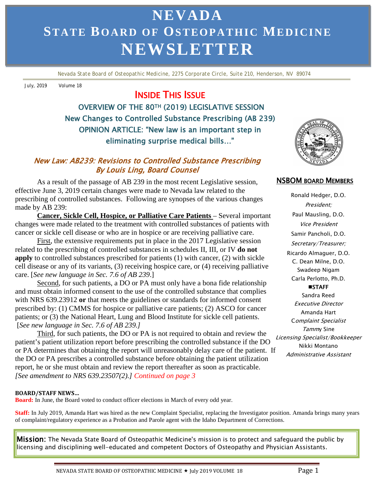# 3 **STATE BOARD OF OSTEOPATHIC MEDICINE NEVADA NEWSLETTER**

 *Nevada State Board of Osteopathic Medicine, 2275 Corporate Circle, Suite 210, Henderson, NV 89074*

July, 2019 Volume 18

# INSIDE THIS ISSUE

 OVERVIEW OF THE 80TH (2019) LEGISLATIVE SESSION New Changes to Controlled Substance Prescribing (AB 239) OPINION ARTICLE: "New law is an important step in eliminating surprise medical bills…"

### By Louis Ling, Board Counsel New Law: AB239: Revisions to Controlled Substance Prescribing

As a result of the passage of AB 239 in the most recent Legislative session, **NSBOM BOARD MEMBERS** effective June 3, 2019 certain changes were made to Nevada law related to the prescribing of controlled substances. Following are synopses of the various changes made by AB 239:

**Cancer, Sickle Cell, Hospice, or Palliative Care Patients** – Several important changes were made related to the treatment with controlled substances of patients with cancer or sickle cell disease or who are in hospice or are receiving palliative care.

First, the extensive requirements put in place in the 2017 Legislative session related to the prescribing of controlled substances in schedules II, III, or IV **do not apply** to controlled substances prescribed for patients (1) with cancer, (2) with sickle cell disease or any of its variants, (3) receiving hospice care, or (4) receiving palliative care. [*See new language in Sec. 7.6 of AB 239*.]

Second, for such patients, a DO or PA must only have a bona fide relationship and must obtain informed consent to the use of the controlled substance that complies with NRS 639.23912 **or** that meets the guidelines or standards for informed consent prescribed by: (1) CMMS for hospice or palliative care patients; (2) ASCO for cancer patients; or (3) the National Heart, Lung and Blood Institute for sickle cell patients. [*See new language in Sec. 7.6 of AB 239.]*

Third, for such patients, the DO or PA is not required to obtain and review the patient's patient utilization report before prescribing the controlled substance if the DO or PA determines that obtaining the report will unreasonably delay care of the patient. If the DO or PA prescribes a controlled substance before obtaining the patient utilization report, he or she must obtain and review the report thereafter as soon as practicable. *[See amendment to NRS 639.23507(2).] Continued on page 3*

#### **BOARD/STAFF NEWS…**

**Board:** In June, the Board voted to conduct officer elections in March of every odd year.

**Staff:** In July 2019, Amanda Hart was hired as the new Complaint Specialist, replacing the Investigator position. Amanda brings many years of complaint/regulatory experience as a Probation and Parole agent with the Idaho Department of Corrections.

Mission: The Nevada State Board of Osteopathic Medicine's mission is to protect and safeguard the public by licensing and disciplining well-educated and competent Doctors of Osteopathy and Physician Assistants.



Ronald Hedger, D.O. President; Paul Mausling, D.O. Vice President Samir Pancholi, D.O. Secretary/Treasurer; Ricardo Almaguer, D.O. C. Dean Milne, D.O. Swadeep Nigam Carla Perlotto, Ph.D. **MISTAFF** Sandra Reed Executive Director Amanda Hart Complaint Specialist Tammy Sine Licensing Specialist/Bookkeeper Nikki Montano Administrative Assistant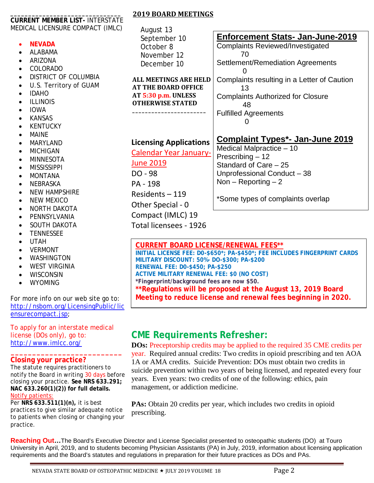|                                        | <b>2019 BOARD MEETINGS</b>    |                                              |
|----------------------------------------|-------------------------------|----------------------------------------------|
| <b>CURRENT MEMBER LIST- INTERSTATE</b> |                               |                                              |
| MEDICAL LICENSURE COMPACT (IMLC)       | August 13                     |                                              |
|                                        | September 10                  | <b>Enforcement Stats- Jan-June-2019</b>      |
| <b>NEVADA</b>                          | October 8                     | <b>Complaints Reviewed/Investigated</b>      |
| <b>ALABAMA</b><br>$\bullet$            | November 12                   | 70                                           |
| ARIZONA                                | December 10                   | Settlement/Remediation Agreements            |
| <b>COLORADO</b>                        |                               |                                              |
| DISTRICT OF COLUMBIA                   | <b>ALL MEETINGS ARE HELD</b>  | Complaints resulting in a Letter of Caution  |
| U.S. Territory of GUAM                 | <b>AT THE BOARD OFFICE</b>    | 13                                           |
| <b>IDAHO</b><br>$\bullet$              | AT 5:30 p.m. UNLESS           | <b>Complaints Authorized for Closure</b>     |
| <b>ILLINOIS</b>                        | <b>OTHERWISE STATED</b>       | 48                                           |
| <b>IOWA</b><br>$\bullet$               |                               | <b>Fulfilled Agreements</b>                  |
| <b>KANSAS</b>                          |                               | O                                            |
| <b>KENTUCKY</b>                        |                               |                                              |
| <b>MAINE</b><br>$\bullet$              |                               | <b>Complaint Types*- Jan-June 2019</b>       |
| <b>MARYLAND</b><br>$\bullet$           | <b>Licensing Applications</b> |                                              |
| <b>MICHIGAN</b><br>$\bullet$           | Calendar Year January-        | Medical Malpractice - 10<br>Prescribing - 12 |
| <b>MINNESOTA</b><br>$\bullet$          | <b>June 2019</b>              | Standard of Care - 25                        |
| <b>MISSISSIPPI</b><br>$\bullet$        |                               |                                              |
| <b>MONTANA</b><br>$\bullet$            | DO - 98                       | Unprofessional Conduct - 38                  |
| NEBRASKA<br>$\bullet$                  | PA - 198                      | Non – Reporting – 2                          |
| <b>NEW HAMPSHIRE</b><br>$\bullet$      | Residents $-119$              |                                              |
| <b>NEW MEXICO</b><br>$\bullet$         | Other Special - 0             | *Some types of complaints overlap            |
| <b>NORTH DAKOTA</b>                    |                               |                                              |
| PENNSYLVANIA                           | Compact (IMLC) 19             |                                              |
| SOUTH DAKOTA<br>$\bullet$              | Total licensees - 1926        |                                              |

**CURRENT BOARD LICENSE/RENEWAL FEES\*\***

**INITIAL LICENSE FEE: D0-\$650\*; PA-\$450\*; FEE INCLUDES FINGERPRINT CARDS MILITARY DISCOUNT: 50%- DO-\$300; PA-\$200 RENEWAL FEE: D0-\$450; PA-\$250 ACTIVE MILITARY RENEWAL FEE: \$0 (NO COST) \*Fingerprint/background fees are now \$50.**

**\*\*Regulations will be proposed at the August 13, 2019 Board Meeting to reduce license and renewal fees beginning in 2020.**

# **CME Requirements Refresher:**

**DOs:** Preceptorship credits may be applied to the required 35 CME credits per year. Required annual credits: Two credits in opioid prescribing and ten AOA 1A or AMA credits. Suicide Prevention: DOs must obtain two credits in suicide prevention within two years of being licensed, and repeated every four years. Even years: two credits of one of the following: ethics, pain management, or addiction medicine.

**PAs:** Obtain 20 credits per year, which includes two credits in opioid prescribing.

 University in April, 2019, and to students becoming Physician Assistants (PA) in July, 2019, information about licensing application **Reaching Out…**The Board's Executive Director and License Specialist presented to osteopathic students (DO) at Touro requirements and the Board's statutes and regulations in preparation for their future practices as DOs and PAs.

• TENNESSEE • UTAH • VERMONT **WASHINGTON** WEST VIRGINIA **WISCONSIN WYOMING** 

[ensurecompact.jsp;](http://nsbom.org/LicensingPublic/licensurecompact.jsp)

license (DOs only), go to: <http://www.imlcc.org/>

**Closing your practice?** 

Notify patients:

practice.

For more info on our web site go to: [http://nsbom.org/LicensingPublic/lic](http://nsbom.org/LicensingPublic/licensurecompact.jsp)

To apply for an interstate medical

 **\_\_\_\_\_\_\_\_\_\_\_\_\_\_\_\_\_\_\_\_\_\_\_\_\_\_**

The statute requires practitioners to notify the Board in writing 30 days before closing your practice. **See NRS 633.291; NAC 633.260(1)(2)) for full details.**

Per **NRS 633.511(1)(n),** it is best

practices to give similar adequate notice to patients when closing or changing your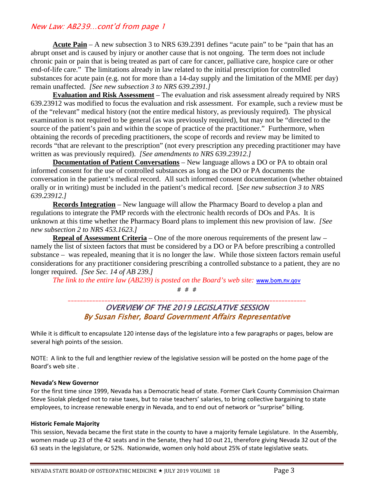### New Law: AB239…cont'd from page 1

**Acute Pain** – A new subsection 3 to NRS 639.2391 defines "acute pain" to be "pain that has an abrupt onset and is caused by injury or another cause that is not ongoing. The term does not include chronic pain or pain that is being treated as part of care for cancer, palliative care, hospice care or other end-of-life care." The limitations already in law related to the initial prescription for controlled substances for acute pain (e.g. not for more than a 14-day supply and the limitation of the MME per day) remain unaffected. *[See new subsection 3 to NRS 639.2391.]*

**Evaluation and Risk Assessment** – The evaluation and risk assessment already required by NRS 639.23912 was modified to focus the evaluation and risk assessment. For example, such a review must be of the "relevant" medical history (not the entire medical history, as previously required). The physical examination is not required to be general (as was previously required), but may not be "directed to the source of the patient's pain and within the scope of practice of the practitioner." Furthermore, when obtaining the records of preceding practitioners, the scope of records and review may be limited to records "that are relevant to the prescription" (not every prescription any preceding practitioner may have written as was previously required). *[See amendments to NRS 639.23912.]*

**Documentation of Patient Conversations** – New language allows a DO or PA to obtain oral informed consent for the use of controlled substances as long as the DO or PA documents the conversation in the patient's medical record. All such informed consent documentation (whether obtained orally or in writing) must be included in the patient's medical record. [*See new subsection 3 to NRS 639.23912.]*

**Records Integration** – New language will allow the Pharmacy Board to develop a plan and regulations to integrate the PMP records with the electronic health records of DOs and PAs. It is unknown at this time whether the Pharmacy Board plans to implement this new provision of law. *[See new subsection 2 to NRS 453.1623.]*

**Repeal of Assessment Criteria** – One of the more onerous requirements of the present law – namely the list of sixteen factors that must be considered by a DO or PA before prescribing a controlled substance – was repealed, meaning that it is no longer the law. While those sixteen factors remain useful considerations for any practitioner considering prescribing a controlled substance to a patient, they are no longer required. *[See Sec. 14 of AB 239.]*

*The link to the entire law (AB239) is posted on the Board's web site:* [www.bom.nv.gov](http://www.bom.nv.gov/)

# # #

#### \_\_\_\_\_\_\_\_\_\_\_\_\_\_\_\_\_\_\_\_\_\_\_\_\_\_\_\_\_\_\_\_\_\_\_\_\_\_\_\_\_\_\_\_\_\_\_\_\_\_\_\_\_\_\_\_\_\_\_\_\_\_\_\_\_\_\_\_\_\_\_\_\_\_\_\_\_\_ OVERVIEW OF THE 2019 LEGISLATIVE SESSION By Susan Fisher, Board Government Affairs Representative

While it is difficult to encapsulate 120 intense days of the legislature into a few paragraphs or pages, below are several high points of the session.

NOTE: A link to the full and lengthier review of the legislative session will be posted on the home page of the Board's web site .

#### **Nevada's New Governor**

For the first time since 1999, Nevada has a Democratic head of state. Former Clark County Commission Chairman Steve Sisolak pledged not to raise taxes, but to raise teachers' salaries, to bring collective bargaining to state employees, to increase renewable energy in Nevada, and to end out of network or "surprise" billing.

#### **Historic Female Majority**

This session, Nevada became the first state in the county to have a majority female Legislature. In the Assembly, women made up 23 of the 42 seats and in the Senate, they had 10 out 21, therefore giving Nevada 32 out of the 63 seats in the legislature, or 52%. Nationwide, women only hold about 25% of state legislative seats.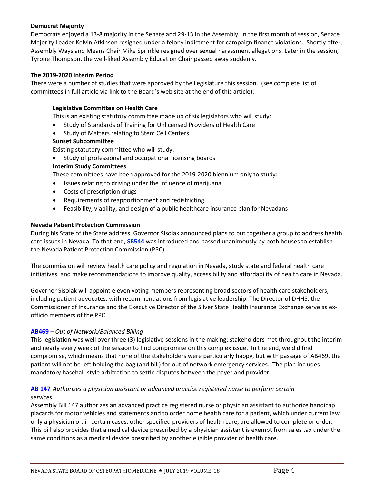#### **Democrat Majority**

Democrats enjoyed a 13-8 majority in the Senate and 29-13 in the Assembly. In the first month of session, Senate Majority Leader Kelvin Atkinson resigned under a felony indictment for campaign finance violations. Shortly after, Assembly Ways and Means Chair Mike Sprinkle resigned over sexual harassment allegations. Later in the session, Tyrone Thompson, the well-liked Assembly Education Chair passed away suddenly.

#### **The 2019-2020 Interim Period**

There were a number of studies that were approved by the Legislature this session. (see complete list of committees in full article via link to the Board's web site at the end of this article):

#### **Legislative Committee on Health Care**

This is an existing statutory committee made up of six legislators who will study:

- Study of Standards of Training for Unlicensed Providers of Health Care
- Study of Matters relating to Stem Cell Centers

#### **Sunset Subcommittee**

Existing statutory committee who will study:

• Study of professional and occupational licensing boards

#### **Interim Study Committees**

These committees have been approved for the 2019-2020 biennium only to study:

- Issues relating to driving under the influence of marijuana
- Costs of prescription drugs
- Requirements of reapportionment and redistricting
- Feasibility, viability, and design of a public healthcare insurance plan for Nevadans

#### **Nevada Patient Protection Commission**

During his State of the State address, Governor Sisolak announced plans to put together a group to address health care issues in Nevada. To that end, **SB544** was introduced and passed unanimously by both houses to establish the Nevada Patient Protection Commission (PPC).

The commission will review health care policy and regulation in Nevada, study state and federal health care initiatives, and make recommendations to improve quality, accessibility and affordability of health care in Nevada.

Governor Sisolak will appoint eleven voting members representing broad sectors of health care stakeholders, including patient advocates, with recommendations from legislative leadership. The Director of DHHS, the Commissioner of Insurance and the Executive Director of the Silver State Health Insurance Exchange serve as exofficio members of the PPC.

#### **AB469** *– Out of Network/Balanced Billing*

This legislation was well over three (3) legislative sessions in the making; stakeholders met throughout the interim and nearly every week of the session to find compromise on this complex issue. In the end, we did find compromise, which means that none of the stakeholders were particularly happy, but with passage of AB469, the patient will not be left holding the bag (and bill) for out of network emergency services. The plan includes mandatory baseball-style arbitration to settle disputes between the payer and provider.

#### **[AB 147](https://www.leg.state.nv.us/App/NELIS/REL/80th2019/Bill/6221/Overview)** *Authorizes a physician assistant or advanced practice registered nurse to perform certain services*.

Assembly Bill 147 authorizes an advanced practice registered nurse or physician assistant to authorize handicap placards for motor vehicles and statements and to order home health care for a patient, which under current law only a physician or, in certain cases, other specified providers of health care, are allowed to complete or order. This bill also provides that a medical device prescribed by a physician assistant is exempt from sales tax under the same conditions as a medical device prescribed by another eligible provider of health care.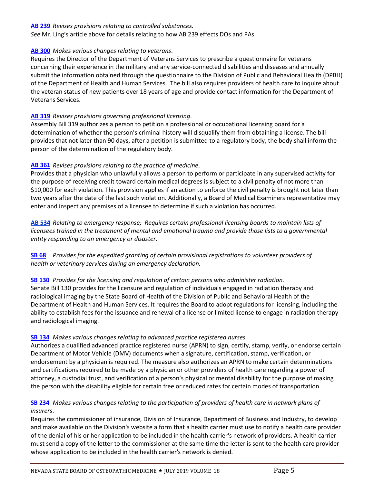#### **[AB 239](https://www.leg.state.nv.us/App/NELIS/REL/80th2019/Bill/6425/Overview)** *Revises provisions relating to controlled substances.*

*See* Mr. Ling's article above for details relating to how AB 239 effects DOs and PAs.

#### **[AB 300](https://www.leg.state.nv.us/App/NELIS/REL/80th2019/Bill/6552/Overview)** *Makes various changes relating to veterans*.

Requires the Director of the Department of Veterans Services to prescribe a questionnaire for veterans concerning their experience in the military and any service-connected disabilities and diseases and annually submit the information obtained through the questionnaire to the Division of Public and Behavioral Health (DPBH) of the Department of Health and Human Services. The bill also requires providers of health care to inquire about the veteran status of new patients over 18 years of age and provide contact information for the Department of Veterans Services.

#### **[AB 319](https://www.leg.state.nv.us/App/NELIS/REL/80th2019/Bill/6580/Overview)** *Revises provisions governing professional licensing*.

Assembly Bill 319 authorizes a person to petition a professional or occupational licensing board for a determination of whether the person's criminal history will disqualify them from obtaining a license. The bill provides that not later than 90 days, after a petition is submitted to a regulatory body, the body shall inform the person of the determination of the regulatory body.

#### **[AB 361](https://www.leg.state.nv.us/App/NELIS/REL/80th2019/Bill/6679/Overview)** *Revises provisions relating to the practice of medicine*.

Provides that a physician who unlawfully allows a person to perform or participate in any supervised activity for the purpose of receiving credit toward certain medical degrees is subject to a civil penalty of not more than \$10,000 for each violation. This provision applies if an action to enforce the civil penalty is brought not later than two years after the date of the last such violation. Additionally, a Board of Medical Examiners representative may enter and inspect any premises of a licensee to determine if such a violation has occurred.

**[AB 534](https://www.leg.state.nv.us/App/NELIS/REL/80th2019/Bill/7058/Text)** *Relating to emergency response; Requires certain professional licensing boards to maintain lists of licensees trained in the treatment of mental and emotional trauma and provide those lists to a governmental entity responding to an emergency or disaster.*

**[SB 68](https://www.leg.state.nv.us/App/NELIS/REL/80th2019/Bill/5999/Overview)** *Provides for the expedited granting of certain provisional registrations to volunteer providers of health or veterinary services during an emergency declaration.*

#### **[SB 130](https://www.leg.state.nv.us/App/NELIS/REL/80th2019/Bill/6141/Overview)** *Provides for the licensing and regulation of certain persons who administer radiation.*

Senate Bill 130 provides for the licensure and regulation of individuals engaged in radiation therapy and radiological imaging by the State Board of Health of the Division of Public and Behavioral Health of the Department of Health and Human Services. It requires the Board to adopt regulations for licensing, including the ability to establish fees for the issuance and renewal of a license or limited license to engage in radiation therapy and radiological imaging.

#### **[SB 134](https://www.leg.state.nv.us/App/NELIS/REL/80th2019/Bill/6158/Overview)** *Makes various changes relating to advanced practice registered nurses.*

Authorizes a qualified advanced practice registered nurse (APRN) to sign, certify, stamp, verify, or endorse certain Department of Motor Vehicle (DMV) documents when a signature, certification, stamp, verification, or endorsement by a physician is required. The measure also authorizes an APRN to make certain determinations and certifications required to be made by a physician or other providers of health care regarding a power of attorney, a custodial trust, and verification of a person's physical or mental disability for the purpose of making the person with the disability eligible for certain free or reduced rates for certain modes of transportation.

#### **[SB 234](https://www.leg.state.nv.us/App/NELIS/REL/80th2019/Bill/6392/Overview)** *Makes various changes relating to the participation of providers of health care in network plans of insurers*.

Requires the commissioner of insurance, Division of Insurance, Department of Business and Industry, to develop and make available on the Division's website a form that a health carrier must use to notify a health care provider of the denial of his or her application to be included in the health carrier's network of providers. A health carrier must send a copy of the letter to the commissioner at the same time the letter is sent to the health care provider whose application to be included in the health carrier's network is denied.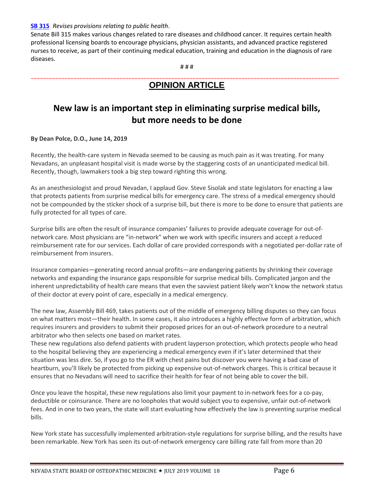#### **[SB 315](https://www.leg.state.nv.us/App/NELIS/REL/80th2019/Bill/6556/Overview)** *Revises provisions relating to public health*.

Senate Bill 315 makes various changes related to rare diseases and childhood cancer. It requires certain health professional licensing boards to encourage physicians, physician assistants, and advanced practice registered nurses to receive, as part of their continuing medical education, training and education in the diagnosis of rare diseases.

# # #

#### \_\_\_\_\_\_\_\_\_\_\_\_\_\_\_\_\_\_\_\_\_\_\_\_\_\_\_\_\_\_\_\_\_\_\_\_\_\_\_\_\_\_\_\_\_\_\_\_\_\_\_\_\_\_\_\_\_\_\_\_\_\_\_\_\_\_\_\_\_\_\_\_\_\_\_\_\_\_\_\_\_\_\_\_\_\_\_\_\_\_\_\_\_\_\_\_\_\_\_\_\_ **[OPINION ARTICLE](https://thenevadaindependent.com/article/new-law-is-an-important-step-in-eliminating-surprise-medical-bills-but-more-needs-to-be-done)**

# **[New law is an important step in eliminating surprise medical bills,](https://thenevadaindependent.com/article/new-law-is-an-important-step-in-eliminating-surprise-medical-bills-but-more-needs-to-be-done)  [but more needs to be done](https://thenevadaindependent.com/article/new-law-is-an-important-step-in-eliminating-surprise-medical-bills-but-more-needs-to-be-done)**

#### **By Dean Polce, D.O., June 14, 2019**

Recently, the health-care system in Nevada seemed to be causing as much pain as it was treating. For many Nevadans, an unpleasant hospital visit is made worse by the staggering costs of an unanticipated medical bill. Recently, though, lawmakers took a big step toward righting this wrong.

As an anesthesiologist and proud Nevadan, I applaud Gov. Steve Sisolak and state legislators for enacting a law that protects patients from surprise medical bills for emergency care. The stress of a medical emergency should not be compounded by the sticker shock of a surprise bill, but there is more to be done to ensure that patients are fully protected for all types of care.

Surprise bills are often the result of insurance companies' failures to provide adequate coverage for out-ofnetwork care. Most physicians are "in-network" when we work with specific insurers and accept a reduced reimbursement rate for our services. Each dollar of care provided corresponds with a negotiated per-dollar rate of reimbursement from insurers.

Insurance companies—generating record annual profits—are endangering patients by shrinking their coverage networks and expanding the insurance gaps responsible for surprise medical bills. Complicated jargon and the inherent unpredictability of health care means that even the savviest patient likely won't know the network status of their doctor at every point of care, especially in a medical emergency.

The new law, Assembly Bill 469, takes patients out of the middle of emergency billing disputes so they can focus on what matters most—their health. In some cases, it also introduces a highly effective form of arbitration, which requires insurers and providers to submit their proposed prices for an out-of-network procedure to a neutral arbitrator who then selects one based on market rates.

These new regulations also defend patients with prudent layperson protection, which protects people who head to the hospital believing they are experiencing a medical emergency even if it's later determined that their situation was less dire. So, if you go to the ER with chest pains but discover you were having a bad case of heartburn, you'll likely be protected from picking up expensive out-of-network charges. This is critical because it ensures that no Nevadans will need to sacrifice their health for fear of not being able to cover the bill.

Once you leave the hospital, these new regulations also limit your payment to in-network fees for a co-pay, deductible or coinsurance. There are no loopholes that would subject you to expensive, unfair out-of-network fees. And in one to two years, the state will start evaluating how effectively the law is preventing surprise medical bills.

New York state has successfully implemented arbitration-style regulations for surprise billing, and the results have been remarkable. New York has seen its out-of-network emergency care billing rate fall from more than 20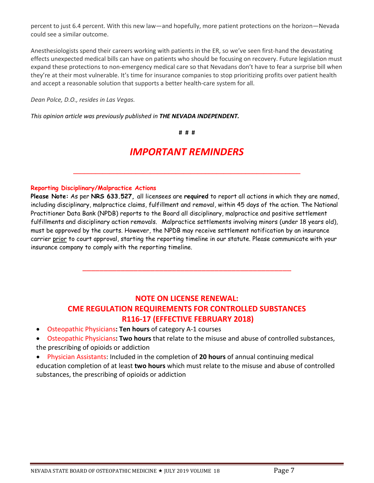percent to just 6.4 percent. With this new law—and hopefully, more patient protections on the horizon—Nevada could see a similar outcome.

Anesthesiologists spend their careers working with patients in the ER, so we've seen first-hand the devastating effects unexpected medical bills can have on patients who should be focusing on recovery. Future legislation must expand these protections to non-emergency medical care so that Nevadans don't have to fear a surprise bill when they're at their most vulnerable. It's time for insurance companies to stop prioritizing profits over patient health and accept a reasonable solution that supports a better health-care system for all.

*Dean Polce, D.O., resides in Las Vegas.*

*This opinion article was previously published in THE NEVADA INDEPENDENT.*

**# # #**

# *IMPORTANT REMINDERS*

**\_\_\_\_\_\_\_\_\_\_\_\_\_\_\_\_\_\_\_\_\_\_\_\_\_\_\_\_\_\_\_\_\_\_\_\_\_\_\_\_\_\_\_\_\_\_\_\_\_\_\_\_\_\_\_\_\_\_\_\_\_\_**

#### **Reporting Disciplinary/Malpractice Actions**

**Please Note:** As per **NRS 633.527,** all licensees are **required** to report all actions in which they are named, including disciplinary, malpractice claims, fulfillment and removal, within 45 days of the action. The National Practitioner Data Bank (NPDB) reports to the Board all disciplinary, malpractice and positive settlement fulfillments and disciplinary action removals. Malpractice settlements involving minors (under 18 years old), must be approved by the courts. However, the NPDB may receive settlement notification by an insurance carrier prior to court approval, starting the reporting timeline in our statute. Please communicate with your insurance company to comply with the reporting timeline.

## **NOTE ON LICENSE RENEWAL: CME REGULATION REQUIREMENTS FOR CONTROLLED SUBSTANCES R116-17 (EFFECTIVE FEBRUARY 2018)**

\_\_\_\_\_\_\_\_\_\_\_\_\_\_\_\_\_\_\_\_\_\_\_\_\_\_\_\_\_\_\_\_\_\_\_\_\_\_\_\_\_\_\_\_\_\_\_\_\_

- Osteopathic Physicians**: Ten hours** of category A-1 courses
- Osteopathic Physicians**: Two hours** that relate to the misuse and abuse of controlled substances, the prescribing of opioids or addiction
- Physician Assistants: Included in the completion of **20 hours** of annual continuing medical education completion of at least **two hours** which must relate to the misuse and abuse of controlled substances, the prescribing of opioids or addiction